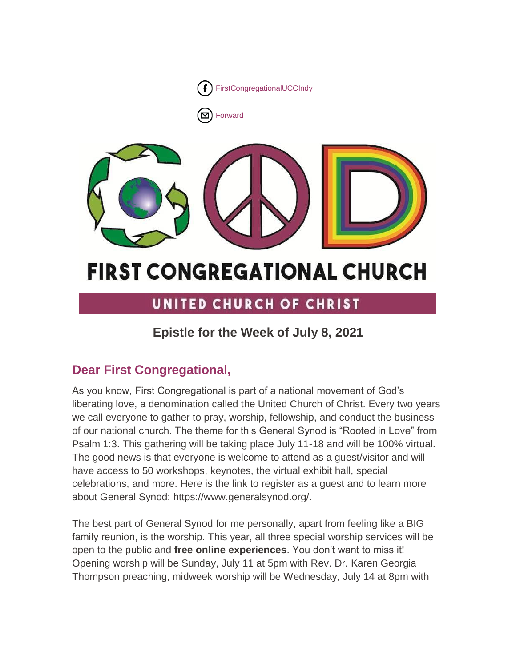

[Forward](http://us16.forward-to-friend.com/forward?u=7a2e4c501545b6d78729a64a1&id=7c047b3af2&e=%5bUNIQID%5d)



# **FIRST CONGREGATIONAL CHURCH**

# UNITED CHURCH OF CHRIST

# **Epistle for the Week of July 8, 2021**

# **Dear First Congregational,**

As you know, First Congregational is part of a national movement of God's liberating love, a denomination called the United Church of Christ. Every two years we call everyone to gather to pray, worship, fellowship, and conduct the business of our national church. The theme for this General Synod is "Rooted in Love" from Psalm 1:3. This gathering will be taking place July 11-18 and will be 100% virtual. The good news is that everyone is welcome to attend as a guest/visitor and will have access to 50 workshops, keynotes, the virtual exhibit hall, special celebrations, and more. Here is the link to register as a guest and to learn more about General Synod: [https://www.generalsynod.org/.](https://www.generalsynod.org/)

The best part of General Synod for me personally, apart from feeling like a BIG family reunion, is the worship. This year, all three special worship services will be open to the public and **free online experiences**. You don't want to miss it! Opening worship will be Sunday, July 11 at 5pm with Rev. Dr. Karen Georgia Thompson preaching, midweek worship will be Wednesday, July 14 at 8pm with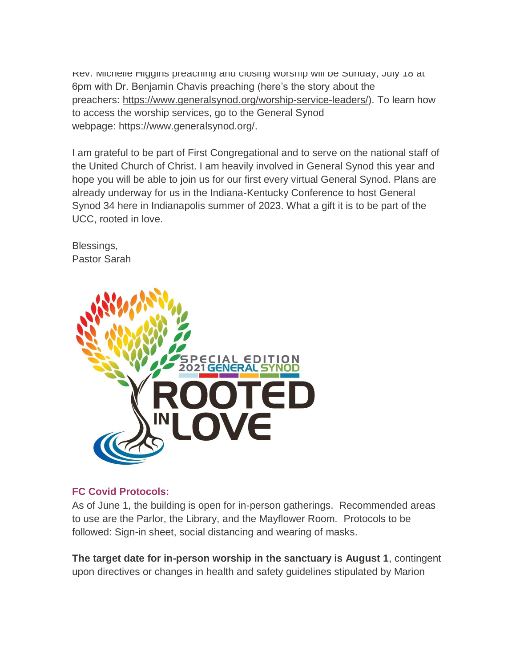Rev. Michelle Higgins preaching and closing worship will be Sunday, July 18 at 6pm with Dr. Benjamin Chavis preaching (here's the story about the preachers: [https://www.generalsynod.org/worship-service-leaders/\)](https://www.generalsynod.org/worship-service-leaders/). To learn how to access the worship services, go to the General Synod webpage: [https://www.generalsynod.org/.](https://www.generalsynod.org/)

I am grateful to be part of First Congregational and to serve on the national staff of the United Church of Christ. I am heavily involved in General Synod this year and hope you will be able to join us for our first every virtual General Synod. Plans are already underway for us in the Indiana-Kentucky Conference to host General Synod 34 here in Indianapolis summer of 2023. What a gift it is to be part of the UCC, rooted in love.

Blessings, Pastor Sarah



### **FC Covid Protocols:**

As of June 1, the building is open for in-person gatherings. Recommended areas to use are the Parlor, the Library, and the Mayflower Room. Protocols to be followed: Sign-in sheet, social distancing and wearing of masks.

**The target date for in-person worship in the sanctuary is August 1**, contingent upon directives or changes in health and safety guidelines stipulated by Marion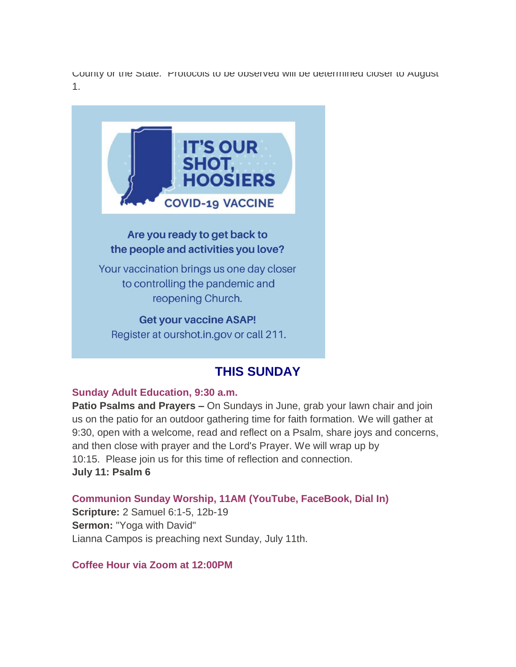County or the State. Protocols to be observed will be determined closer to August 1.



Register at ourshot.in.gov or call 211.

# **THIS SUNDAY**

#### **Sunday Adult Education, 9:30 a.m.**

**Patio Psalms and Prayers –** On Sundays in June, grab your lawn chair and join us on the patio for an outdoor gathering time for faith formation. We will gather at 9:30, open with a welcome, read and reflect on a Psalm, share joys and concerns, and then close with prayer and the Lord's Prayer. We will wrap up by 10:15. Please join us for this time of reflection and connection. **July 11: Psalm 6**

**Communion Sunday Worship, 11AM (YouTube, FaceBook, Dial In)**

**Scripture:** 2 Samuel 6:1-5, 12b-19 **Sermon:** "Yoga with David" Lianna Campos is preaching next Sunday, July 11th.

**Coffee Hour via Zoom at 12:00PM**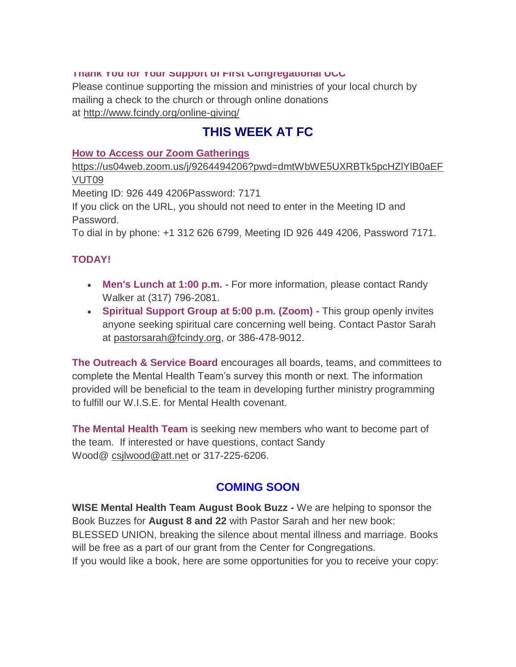#### **Thank You for Your Support of First Congregational UCC**

Please continue supporting the mission and ministries of your local church by mailing a check to the church or through online donations at <http://www.fcindy.org/online-giving/>

# **THIS WEEK AT FC**

#### **How to Access our Zoom Gatherings**

[https://us04web.zoom.us/j/9264494206?pwd=dmtWbWE5UXRBTk5pcHZlYlB0aEF](https://us04web.zoom.us/j/9264494206?pwd=dmtWbWE5UXRBTk5pcHZlYlB0aEFVUT09) [VUT09](https://us04web.zoom.us/j/9264494206?pwd=dmtWbWE5UXRBTk5pcHZlYlB0aEFVUT09)

Meeting ID: 926 449 4206Password: 7171

If you click on the URL, you should not need to enter in the Meeting ID and Password.

To dial in by phone: +1 312 626 6799, Meeting ID 926 449 4206, Password 7171.

### **TODAY!**

- **Men's Lunch at 1:00 p.m. -** For more information, please contact Randy Walker at (317) 796-2081.
- **Spiritual Support Group at 5:00 p.m. (Zoom) -** This group openly invites anyone seeking spiritual care concerning well being. Contact Pastor Sarah at [pastorsarah@fcindy.org,](mailto:pastorsarah@fcindy.org) or 386-478-9012.

**The Outreach & Service Board** encourages all boards, teams, and committees to complete the Mental Health Team's survey this month or next. The information provided will be beneficial to the team in developing further ministry programming to fulfill our W.I.S.E. for Mental Health covenant.

**The Mental Health Team** is seeking new members who want to become part of the team. If interested or have questions, contact Sandy Wood@ [csjlwood@att.net](mailto:csjlwood@att.net) or 317-225-6206.

# **COMING SOON**

**WISE Mental Health Team August Book Buzz -** We are helping to sponsor the Book Buzzes for **August 8 and 22** with Pastor Sarah and her new book: BLESSED UNION, breaking the silence about mental illness and marriage. Books will be free as a part of our grant from the Center for Congregations. If you would like a book, here are some opportunities for you to receive your copy: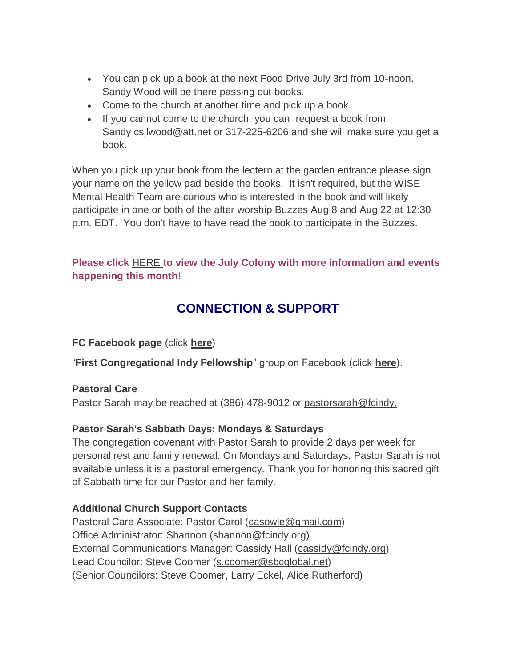- You can pick up a book at the next Food Drive July 3rd from 10-noon. Sandy Wood will be there passing out books.
- Come to the church at another time and pick up a book.
- If you cannot come to the church, you can request a book from Sandy csilwood@att.net or 317-225-6206 and she will make sure you get a book.

When you pick up your book from the lectern at the garden entrance please sign your name on the yellow pad beside the books. It isn't required, but the WISE Mental Health Team are curious who is interested in the book and will likely participate in one or both of the after worship Buzzes Aug 8 and Aug 22 at 12:30 p.m. EDT. You don't have to have read the book to participate in the Buzzes.

### **Please click** [HERE](https://mcusercontent.com/7a2e4c501545b6d78729a64a1/files/d48f69d7-e688-a3ac-b0c2-00c4dfd79cda/June_Colony_2021.01.pdf) **[t](https://mcusercontent.com/7a2e4c501545b6d78729a64a1/files/d48f69d7-e688-a3ac-b0c2-00c4dfd79cda/June_Colony_2021.01.pdf)o view the July Colony with more information and events happening this month!**

# **CONNECTION & SUPPORT**

**FC Facebook page** (click **[here](https://www.facebook.com/FirstCongregationalUCCIndy/)**)

"**First Congregational Indy Fellowship**" group on Facebook (click **[here](https://www.facebook.com/groups/521333455186422/)**).

### **Pastoral Care**

Pastor Sarah may be reached at (386) 478-9012 or [pastorsarah@fcindy.](mailto:pastorsarah@fcindy.org)

### **Pastor Sarah's Sabbath Days: Mondays & Saturdays**

The congregation covenant with Pastor Sarah to provide 2 days per week for personal rest and family renewal. On Mondays and Saturdays, Pastor Sarah is not available unless it is a pastoral emergency. Thank you for honoring this sacred gift of Sabbath time for our Pastor and her family.

### **Additional Church Support Contacts**

Pastoral Care Associate: Pastor Carol [\(casowle@gmail.com\)](mailto:casowle@gmail.com) Office Administrator: Shannon [\(shannon@fcindy.org\)](mailto:shannon@fcindy.org) External Communications Manager: Cassidy Hall [\(cassidy@fcindy.org\)](mailto:cassidy@fcindy.org) Lead Councilor: Steve Coomer [\(s.coomer@sbcglobal.net\)](mailto:s.coomer@sbcglobal.net) (Senior Councilors: Steve Coomer, Larry Eckel, Alice Rutherford)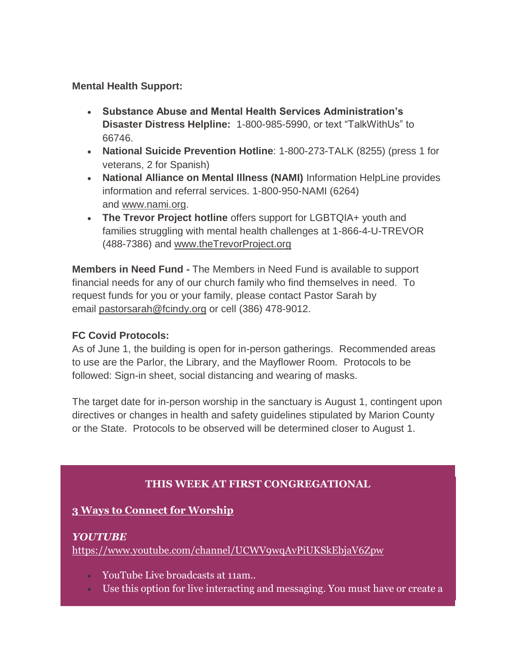**Mental Health Support:**

- **Substance Abuse and Mental Health Services Administration's Disaster Distress Helpline:** 1-800-985-5990, or text "TalkWithUs" to 66746.
- **National Suicide Prevention Hotline**: 1-800-273-TALK (8255) (press 1 for veterans, 2 for Spanish)
- **National Alliance on Mental Illness (NAMI)** Information HelpLine provides information and referral services. 1-800-950-NAMI (6264) and [www.nami.org.](http://www.nami.org/)
- **The Trevor Project hotline** offers support for LGBTQIA+ youth and families struggling with mental health challenges at 1-866-4-U-TREVOR (488-7386) and [www.theTrevorProject.org](http://www.thetrevorproject.org/)

**Members in Need Fund -** The Members in Need Fund is available to support financial needs for any of our church family who find themselves in need. To request funds for you or your family, please contact Pastor Sarah by email [pastorsarah@fcindy.org](mailto:pastorsarah@fcindy.org) or cell (386) 478-9012.

### **FC Covid Protocols:**

As of June 1, the building is open for in-person gatherings. Recommended areas to use are the Parlor, the Library, and the Mayflower Room. Protocols to be followed: Sign-in sheet, social distancing and wearing of masks.

The target date for in-person worship in the sanctuary is August 1, contingent upon directives or changes in health and safety guidelines stipulated by Marion County or the State. Protocols to be observed will be determined closer to August 1.

# **THIS WEEK AT FIRST CONGREGATIONAL**

### **3 Ways to Connect for Worship**

### *YOUTUBE*

<https://www.youtube.com/channel/UCWV9wqAvPiUKSkEbjaV6Zpw>

- YouTube Live broadcasts at 11am..
- Use this option for live interacting and messaging. You must have or create a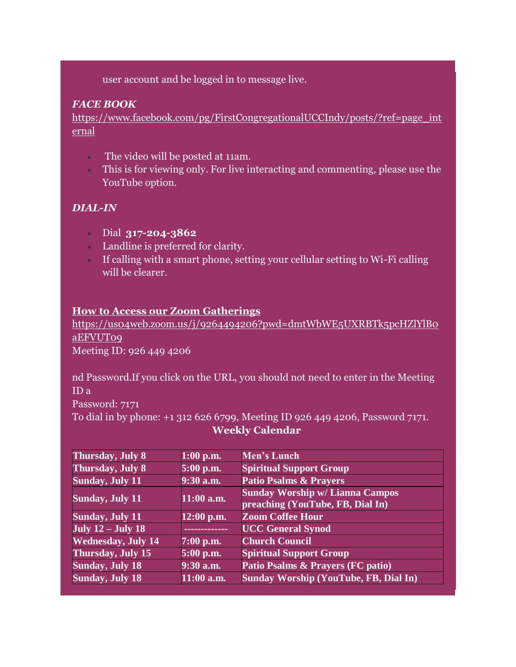user account and be logged in to message live.

## *FACE BOOK*

[https://www.facebook.com/pg/FirstCongregationalUCCIndy/posts/?ref=page\\_int](https://www.facebook.com/pg/FirstCongregationalUCCIndy/posts/?ref=page_internal) [ernal](https://www.facebook.com/pg/FirstCongregationalUCCIndy/posts/?ref=page_internal)

- The video will be posted at 11am.
- This is for viewing only. For live interacting and commenting, please use the YouTube option.

# *DIAL-IN*

- Dial **317-204-3862**
- Landline is preferred for clarity.
- If calling with a smart phone, setting your cellular setting to Wi-Fi calling will be clearer.

### **How to Access our Zoom Gatherings**

[https://us04web.zoom.us/j/9264494206?pwd=dmtWbWE5UXRBTk5pcHZlYlB0](https://us04web.zoom.us/j/9264494206?pwd=dmtWbWE5UXRBTk5pcHZlYlB0aEFVUT09) [aEFVUT09](https://us04web.zoom.us/j/9264494206?pwd=dmtWbWE5UXRBTk5pcHZlYlB0aEFVUT09) Meeting ID: 926 449 4206

nd Password.If you click on the URL, you should not need to enter in the Meeting ID a Password: 7171 To dial in by phone: +1 312 626 6799, Meeting ID 926 449 4206, Password 7171.

### **Weekly Calendar**

| <b>Thursday, July 8</b>   | $1:00$ p.m.   | Men's Lunch                                                                |
|---------------------------|---------------|----------------------------------------------------------------------------|
| <b>Thursday, July 8</b>   | 5:00 p.m.     | <b>Spiritual Support Group</b>                                             |
| <b>Sunday, July 11</b>    | $9:30$ a.m.   | <b>Patio Psalms &amp; Prayers</b>                                          |
| <b>Sunday, July 11</b>    | $11:00$ a.m.  | <b>Sunday Worship w/ Lianna Campos</b><br>preaching (YouTube, FB, Dial In) |
| <b>Sunday, July 11</b>    | $12:00$ p.m.  | <b>Zoom Coffee Hour</b>                                                    |
| July $12 -$ July 18       | ------------- | <b>UCC</b> General Synod                                                   |
| <b>Wednesday, July 14</b> | $7:00$ p.m.   | <b>Church Council</b>                                                      |
| <b>Thursday, July 15</b>  | 5:00 p.m.     | <b>Spiritual Support Group</b>                                             |
| Sunday, July 18           | $9:30$ a.m.   | <b>Patio Psalms &amp; Prayers (FC patio)</b>                               |
| <b>Sunday, July 18</b>    | $11:00$ a.m.  | <b>Sunday Worship (YouTube, FB, Dial In)</b>                               |